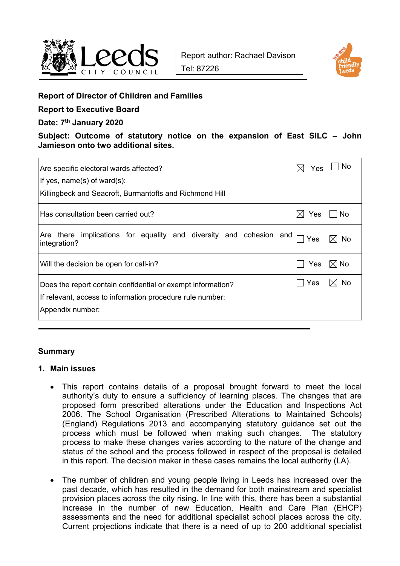



### **Report of Director of Children and Families**

# **Report to Executive Board**

### **Date: 7th January 2020**

**Subject: Outcome of statutory notice on the expansion of East SILC – John Jamieson onto two additional sites.** 

| Are specific electoral wards affected?                                                                                                       | <b>Yes</b>        | – I No |
|----------------------------------------------------------------------------------------------------------------------------------------------|-------------------|--------|
| If yes, $name(s)$ of ward $(s)$ :                                                                                                            |                   |        |
| Killingbeck and Seacroft, Burmantofts and Richmond Hill                                                                                      |                   |        |
| Has consultation been carried out?                                                                                                           | Yes<br>$\times$ l | ∣ ∣No  |
| there implications for equality and diversity and cohesion and<br>Are<br>integration?                                                        | Yes               | No     |
| Will the decision be open for call-in?                                                                                                       | Yes               | I⊠ No  |
| Does the report contain confidential or exempt information?<br>If relevant, access to information procedure rule number:<br>Appendix number: | Yes               | No.    |

### **Summary**

### **1. Main issues**

- This report contains details of a proposal brought forward to meet the local authority's duty to ensure a sufficiency of learning places. The changes that are proposed form prescribed alterations under the Education and Inspections Act 2006. The School Organisation (Prescribed Alterations to Maintained Schools) (England) Regulations 2013 and accompanying statutory guidance set out the process which must be followed when making such changes. The statutory process to make these changes varies according to the nature of the change and status of the school and the process followed in respect of the proposal is detailed in this report. The decision maker in these cases remains the local authority (LA).
- The number of children and young people living in Leeds has increased over the past decade, which has resulted in the demand for both mainstream and specialist provision places across the city rising. In line with this, there has been a substantial increase in the number of new Education, Health and Care Plan (EHCP) assessments and the need for additional specialist school places across the city. Current projections indicate that there is a need of up to 200 additional specialist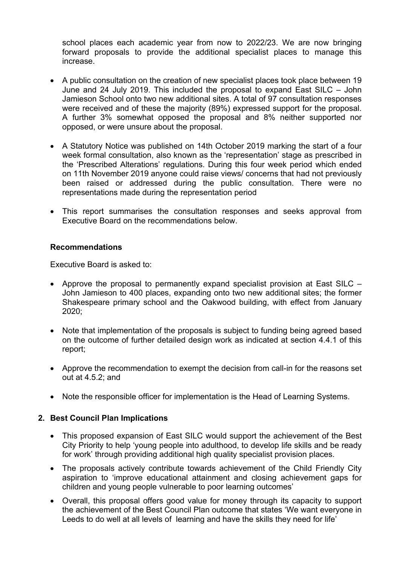school places each academic year from now to 2022/23. We are now bringing forward proposals to provide the additional specialist places to manage this increase.

- A public consultation on the creation of new specialist places took place between 19 June and 24 July 2019. This included the proposal to expand East SILC – John Jamieson School onto two new additional sites. A total of 97 consultation responses were received and of these the majority (89%) expressed support for the proposal. A further 3% somewhat opposed the proposal and 8% neither supported nor opposed, or were unsure about the proposal.
- A Statutory Notice was published on 14th October 2019 marking the start of a four week formal consultation, also known as the 'representation' stage as prescribed in the 'Prescribed Alterations' regulations. During this four week period which ended on 11th November 2019 anyone could raise views/ concerns that had not previously been raised or addressed during the public consultation. There were no representations made during the representation period
- This report summarises the consultation responses and seeks approval from Executive Board on the recommendations below.

### **Recommendations**

Executive Board is asked to:

- Approve the proposal to permanently expand specialist provision at East SILC John Jamieson to 400 places, expanding onto two new additional sites; the former Shakespeare primary school and the Oakwood building, with effect from January 2020;
- Note that implementation of the proposals is subject to funding being agreed based on the outcome of further detailed design work as indicated at section 4.4.1 of this report;
- Approve the recommendation to exempt the decision from call-in for the reasons set out at 4.5.2; and
- Note the responsible officer for implementation is the Head of Learning Systems.

#### **2. Best Council Plan Implications**

- This proposed expansion of East SILC would support the achievement of the Best City Priority to help 'young people into adulthood, to develop life skills and be ready for work' through providing additional high quality specialist provision places.
- The proposals actively contribute towards achievement of the Child Friendly City aspiration to 'improve educational attainment and closing achievement gaps for children and young people vulnerable to poor learning outcomes'
- Overall, this proposal offers good value for money through its capacity to support the achievement of the Best Council Plan outcome that states 'We want everyone in Leeds to do well at all levels of learning and have the skills they need for life'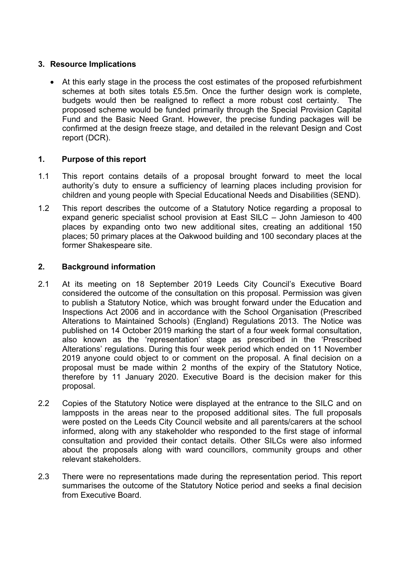# **3. Resource Implications**

 At this early stage in the process the cost estimates of the proposed refurbishment schemes at both sites totals £5.5m. Once the further design work is complete, budgets would then be realigned to reflect a more robust cost certainty. The proposed scheme would be funded primarily through the Special Provision Capital Fund and the Basic Need Grant. However, the precise funding packages will be confirmed at the design freeze stage, and detailed in the relevant Design and Cost report (DCR).

## **1. Purpose of this report**

- 1.1 This report contains details of a proposal brought forward to meet the local authority's duty to ensure a sufficiency of learning places including provision for children and young people with Special Educational Needs and Disabilities (SEND).
- 1.2 This report describes the outcome of a Statutory Notice regarding a proposal to expand generic specialist school provision at East SILC – John Jamieson to 400 places by expanding onto two new additional sites, creating an additional 150 places; 50 primary places at the Oakwood building and 100 secondary places at the former Shakespeare site.

## **2. Background information**

- 2.1 At its meeting on 18 September 2019 Leeds City Council's Executive Board considered the outcome of the consultation on this proposal. Permission was given to publish a Statutory Notice, which was brought forward under the Education and Inspections Act 2006 and in accordance with the School Organisation (Prescribed Alterations to Maintained Schools) (England) Regulations 2013. The Notice was published on 14 October 2019 marking the start of a four week formal consultation, also known as the 'representation' stage as prescribed in the 'Prescribed Alterations' regulations. During this four week period which ended on 11 November 2019 anyone could object to or comment on the proposal. A final decision on a proposal must be made within 2 months of the expiry of the Statutory Notice, therefore by 11 January 2020. Executive Board is the decision maker for this proposal.
- 2.2 Copies of the Statutory Notice were displayed at the entrance to the SILC and on lampposts in the areas near to the proposed additional sites. The full proposals were posted on the Leeds City Council website and all parents/carers at the school informed, along with any stakeholder who responded to the first stage of informal consultation and provided their contact details. Other SILCs were also informed about the proposals along with ward councillors, community groups and other relevant stakeholders.
- 2.3 There were no representations made during the representation period. This report summarises the outcome of the Statutory Notice period and seeks a final decision from Executive Board.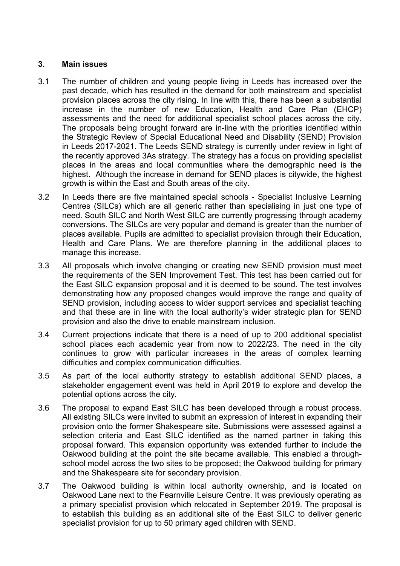#### **3. Main issues**

- 3.1 The number of children and young people living in Leeds has increased over the past decade, which has resulted in the demand for both mainstream and specialist provision places across the city rising. In line with this, there has been a substantial increase in the number of new Education, Health and Care Plan (EHCP) assessments and the need for additional specialist school places across the city. The proposals being brought forward are in-line with the priorities identified within the Strategic Review of Special Educational Need and Disability (SEND) Provision in Leeds 2017-2021. The Leeds SEND strategy is currently under review in light of the recently approved 3As strategy. The strategy has a focus on providing specialist places in the areas and local communities where the demographic need is the highest. Although the increase in demand for SEND places is citywide, the highest growth is within the East and South areas of the city.
- 3.2 In Leeds there are five maintained special schools Specialist Inclusive Learning Centres (SILCs) which are all generic rather than specialising in just one type of need. South SILC and North West SILC are currently progressing through academy conversions. The SILCs are very popular and demand is greater than the number of places available. Pupils are admitted to specialist provision through their Education, Health and Care Plans. We are therefore planning in the additional places to manage this increase.
- 3.3 All proposals which involve changing or creating new SEND provision must meet the requirements of the SEN Improvement Test. This test has been carried out for the East SILC expansion proposal and it is deemed to be sound. The test involves demonstrating how any proposed changes would improve the range and quality of SEND provision, including access to wider support services and specialist teaching and that these are in line with the local authority's wider strategic plan for SEND provision and also the drive to enable mainstream inclusion.
- 3.4 Current projections indicate that there is a need of up to 200 additional specialist school places each academic year from now to 2022/23. The need in the city continues to grow with particular increases in the areas of complex learning difficulties and complex communication difficulties.
- 3.5 As part of the local authority strategy to establish additional SEND places, a stakeholder engagement event was held in April 2019 to explore and develop the potential options across the city.
- 3.6 The proposal to expand East SILC has been developed through a robust process. All existing SILCs were invited to submit an expression of interest in expanding their provision onto the former Shakespeare site. Submissions were assessed against a selection criteria and East SILC identified as the named partner in taking this proposal forward. This expansion opportunity was extended further to include the Oakwood building at the point the site became available. This enabled a throughschool model across the two sites to be proposed; the Oakwood building for primary and the Shakespeare site for secondary provision.
- 3.7 The Oakwood building is within local authority ownership, and is located on Oakwood Lane next to the Fearnville Leisure Centre. It was previously operating as a primary specialist provision which relocated in September 2019. The proposal is to establish this building as an additional site of the East SILC to deliver generic specialist provision for up to 50 primary aged children with SEND.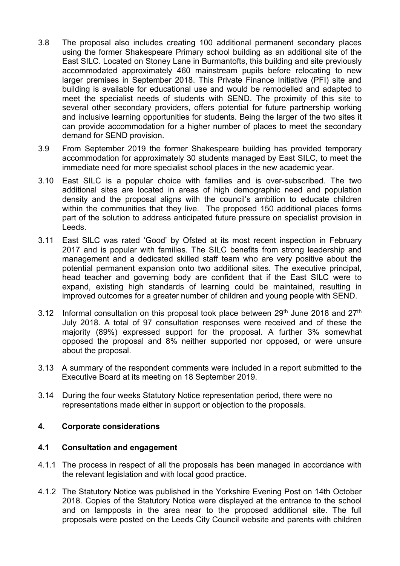- 3.8 The proposal also includes creating 100 additional permanent secondary places using the former Shakespeare Primary school building as an additional site of the East SILC. Located on Stoney Lane in Burmantofts, this building and site previously accommodated approximately 460 mainstream pupils before relocating to new larger premises in September 2018. This Private Finance Initiative (PFI) site and building is available for educational use and would be remodelled and adapted to meet the specialist needs of students with SEND. The proximity of this site to several other secondary providers, offers potential for future partnership working and inclusive learning opportunities for students. Being the larger of the two sites it can provide accommodation for a higher number of places to meet the secondary demand for SEND provision.
- 3.9 From September 2019 the former Shakespeare building has provided temporary accommodation for approximately 30 students managed by East SILC, to meet the immediate need for more specialist school places in the new academic year.
- 3.10 East SILC is a popular choice with families and is over-subscribed. The two additional sites are located in areas of high demographic need and population density and the proposal aligns with the council's ambition to educate children within the communities that they live. The proposed 150 additional places forms part of the solution to address anticipated future pressure on specialist provision in Leeds.
- 3.11 East SILC was rated 'Good' by Ofsted at its most recent inspection in February 2017 and is popular with families. The SILC benefits from strong leadership and management and a dedicated skilled staff team who are very positive about the potential permanent expansion onto two additional sites. The executive principal, head teacher and governing body are confident that if the East SILC were to expand, existing high standards of learning could be maintained, resulting in improved outcomes for a greater number of children and young people with SEND.
- 3.12 Informal consultation on this proposal took place between  $29<sup>th</sup>$  June 2018 and  $27<sup>th</sup>$ July 2018. A total of 97 consultation responses were received and of these the majority (89%) expressed support for the proposal. A further 3% somewhat opposed the proposal and 8% neither supported nor opposed, or were unsure about the proposal.
- 3.13 A summary of the respondent comments were included in a report submitted to the Executive Board at its meeting on 18 September 2019.
- 3.14 During the four weeks Statutory Notice representation period, there were no representations made either in support or objection to the proposals.

### **4. Corporate considerations**

### **4.1 Consultation and engagement**

- 4.1.1 The process in respect of all the proposals has been managed in accordance with the relevant legislation and with local good practice.
- 4.1.2 The Statutory Notice was published in the Yorkshire Evening Post on 14th October 2018. Copies of the Statutory Notice were displayed at the entrance to the school and on lampposts in the area near to the proposed additional site. The full proposals were posted on the Leeds City Council website and parents with children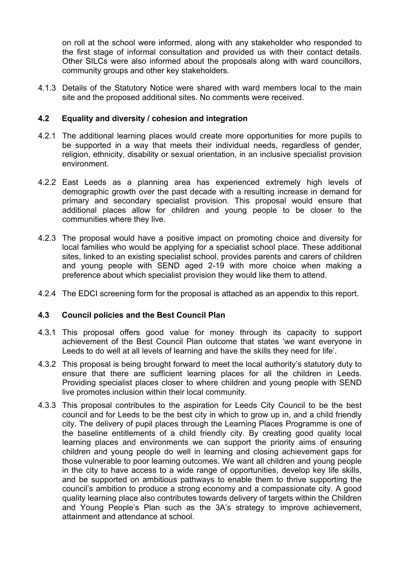on roll at the school were informed, along with any stakeholder who responded to the first stage of informal consultation and provided us with their contact details. Other SILCs were also informed about the proposals along with ward councillors, community groups and other key stakeholders.

4.1.3 Details of the Statutory Notice were shared with ward members local to the main site and the proposed additional sites. No comments were received.

## **4.2 Equality and diversity / cohesion and integration**

- 4.2.1 The additional learning places would create more opportunities for more pupils to be supported in a way that meets their individual needs, regardless of gender, religion, ethnicity, disability or sexual orientation, in an inclusive specialist provision environment.
- 4.2.2 East Leeds as a planning area has experienced extremely high levels of demographic growth over the past decade with a resulting increase in demand for primary and secondary specialist provision. This proposal would ensure that additional places allow for children and young people to be closer to the communities where they live.
- 4.2.3 The proposal would have a positive impact on promoting choice and diversity for local families who would be applying for a specialist school place. These additional sites, linked to an existing specialist school, provides parents and carers of children and young people with SEND aged 2-19 with more choice when making a preference about which specialist provision they would like them to attend.
- 4.2.4 The EDCI screening form for the proposal is attached as an appendix to this report.

### **4.3 Council policies and the Best Council Plan**

- 4.3.1 This proposal offers good value for money through its capacity to support achievement of the Best Council Plan outcome that states 'we want everyone in Leeds to do well at all levels of learning and have the skills they need for life'.
- 4.3.2 This proposal is being brought forward to meet the local authority's statutory duty to ensure that there are sufficient learning places for all the children in Leeds. Providing specialist places closer to where children and young people with SEND live promotes inclusion within their local community.
- 4.3.3 This proposal contributes to the aspiration for Leeds City Council to be the best council and for Leeds to be the best city in which to grow up in, and a child friendly city. The delivery of pupil places through the Learning Places Programme is one of the baseline entitlements of a child friendly city. By creating good quality local learning places and environments we can support the priority aims of ensuring children and young people do well in learning and closing achievement gaps for those vulnerable to poor learning outcomes. We want all children and young people in the city to have access to a wide range of opportunities, develop key life skills, and be supported on ambitious pathways to enable them to thrive supporting the council's ambition to produce a strong economy and a compassionate city. A good quality learning place also contributes towards delivery of targets within the Children and Young People's Plan such as the 3A's strategy to improve achievement, attainment and attendance at school.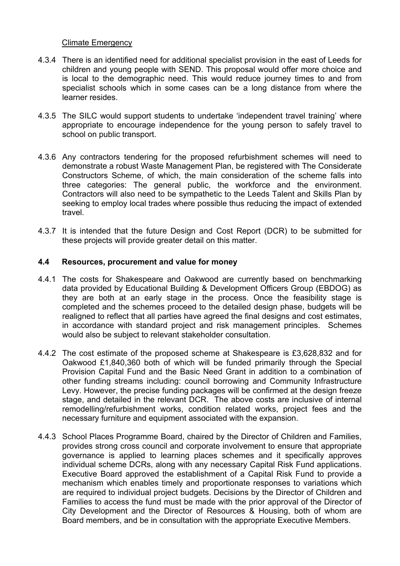### Climate Emergency

- 4.3.4 There is an identified need for additional specialist provision in the east of Leeds for children and young people with SEND. This proposal would offer more choice and is local to the demographic need. This would reduce journey times to and from specialist schools which in some cases can be a long distance from where the learner resides.
- 4.3.5 The SILC would support students to undertake 'independent travel training' where appropriate to encourage independence for the young person to safely travel to school on public transport.
- 4.3.6 Any contractors tendering for the proposed refurbishment schemes will need to demonstrate a robust Waste Management Plan, be registered with The Considerate Constructors Scheme, of which, the main consideration of the scheme falls into three categories: The general public, the workforce and the environment. Contractors will also need to be sympathetic to the Leeds Talent and Skills Plan by seeking to employ local trades where possible thus reducing the impact of extended travel.
- 4.3.7 It is intended that the future Design and Cost Report (DCR) to be submitted for these projects will provide greater detail on this matter.

### **4.4 Resources, procurement and value for money**

- 4.4.1 The costs for Shakespeare and Oakwood are currently based on benchmarking data provided by Educational Building & Development Officers Group (EBDOG) as they are both at an early stage in the process. Once the feasibility stage is completed and the schemes proceed to the detailed design phase, budgets will be realigned to reflect that all parties have agreed the final designs and cost estimates, in accordance with standard project and risk management principles. Schemes would also be subject to relevant stakeholder consultation.
- 4.4.2 The cost estimate of the proposed scheme at Shakespeare is £3,628,832 and for Oakwood £1,840,360 both of which will be funded primarily through the Special Provision Capital Fund and the Basic Need Grant in addition to a combination of other funding streams including: council borrowing and Community Infrastructure Levy. However, the precise funding packages will be confirmed at the design freeze stage, and detailed in the relevant DCR. The above costs are inclusive of internal remodelling/refurbishment works, condition related works, project fees and the necessary furniture and equipment associated with the expansion.
- 4.4.3 School Places Programme Board, chaired by the Director of Children and Families, provides strong cross council and corporate involvement to ensure that appropriate governance is applied to learning places schemes and it specifically approves individual scheme DCRs, along with any necessary Capital Risk Fund applications. Executive Board approved the establishment of a Capital Risk Fund to provide a mechanism which enables timely and proportionate responses to variations which are required to individual project budgets. Decisions by the Director of Children and Families to access the fund must be made with the prior approval of the Director of City Development and the Director of Resources & Housing, both of whom are Board members, and be in consultation with the appropriate Executive Members.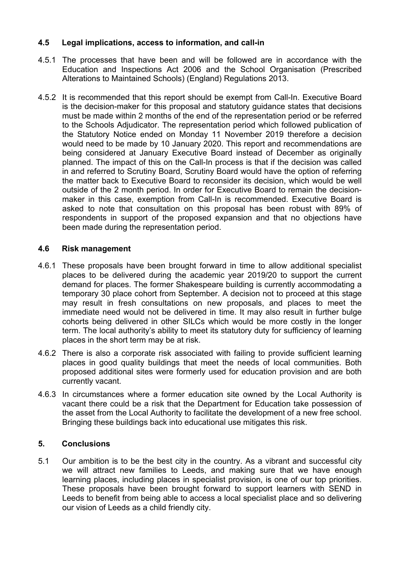# **4.5 Legal implications, access to information, and call-in**

- 4.5.1 The processes that have been and will be followed are in accordance with the Education and Inspections Act 2006 and the School Organisation (Prescribed Alterations to Maintained Schools) (England) Regulations 2013.
- 4.5.2 It is recommended that this report should be exempt from Call-In. Executive Board is the decision-maker for this proposal and statutory guidance states that decisions must be made within 2 months of the end of the representation period or be referred to the Schools Adjudicator. The representation period which followed publication of the Statutory Notice ended on Monday 11 November 2019 therefore a decision would need to be made by 10 January 2020. This report and recommendations are being considered at January Executive Board instead of December as originally planned. The impact of this on the Call-In process is that if the decision was called in and referred to Scrutiny Board, Scrutiny Board would have the option of referring the matter back to Executive Board to reconsider its decision, which would be well outside of the 2 month period. In order for Executive Board to remain the decisionmaker in this case, exemption from Call-In is recommended. Executive Board is asked to note that consultation on this proposal has been robust with 89% of respondents in support of the proposed expansion and that no objections have been made during the representation period.

### **4.6 Risk management**

- 4.6.1 These proposals have been brought forward in time to allow additional specialist places to be delivered during the academic year 2019/20 to support the current demand for places. The former Shakespeare building is currently accommodating a temporary 30 place cohort from September. A decision not to proceed at this stage may result in fresh consultations on new proposals, and places to meet the immediate need would not be delivered in time. It may also result in further bulge cohorts being delivered in other SILCs which would be more costly in the longer term. The local authority's ability to meet its statutory duty for sufficiency of learning places in the short term may be at risk.
- 4.6.2 There is also a corporate risk associated with failing to provide sufficient learning places in good quality buildings that meet the needs of local communities. Both proposed additional sites were formerly used for education provision and are both currently vacant.
- 4.6.3 In circumstances where a former education site owned by the Local Authority is vacant there could be a risk that the Department for Education take possession of the asset from the Local Authority to facilitate the development of a new free school. Bringing these buildings back into educational use mitigates this risk.

# **5. Conclusions**

5.1 Our ambition is to be the best city in the country. As a vibrant and successful city we will attract new families to Leeds, and making sure that we have enough learning places, including places in specialist provision, is one of our top priorities. These proposals have been brought forward to support learners with SEND in Leeds to benefit from being able to access a local specialist place and so delivering our vision of Leeds as a child friendly city.